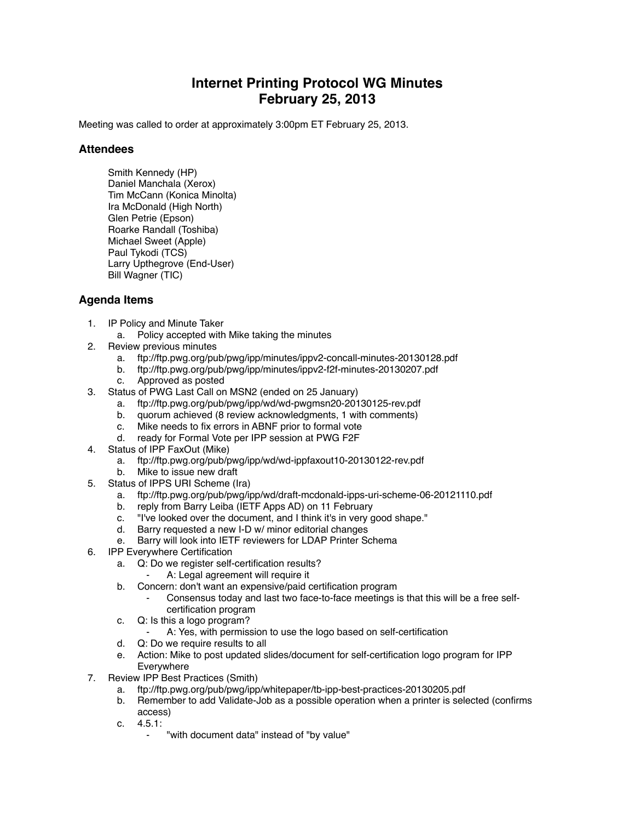## **Internet Printing Protocol WG Minutes February 25, 2013**

Meeting was called to order at approximately 3:00pm ET February 25, 2013.

## **Attendees**

Smith Kennedy (HP) Daniel Manchala (Xerox) Tim McCann (Konica Minolta) Ira McDonald (High North) Glen Petrie (Epson) Roarke Randall (Toshiba) Michael Sweet (Apple) Paul Tykodi (TCS) Larry Upthegrove (End-User) Bill Wagner (TIC)

## **Agenda Items**

- 1. IP Policy and Minute Taker
	- a. Policy accepted with Mike taking the minutes
- 2. Review previous minutes
	- a. ftp://ftp.pwg.org/pub/pwg/ipp/minutes/ippv2-concall-minutes-20130128.pdf
	- b. ftp://ftp.pwg.org/pub/pwg/ipp/minutes/ippv2-f2f-minutes-20130207.pdf
	- c. Approved as posted
- 3. Status of PWG Last Call on MSN2 (ended on 25 January)
	- a. ftp://ftp.pwg.org/pub/pwg/ipp/wd/wd-pwgmsn20-20130125-rev.pdf
	- b. quorum achieved (8 review acknowledgments, 1 with comments)
	- c. Mike needs to fix errors in ABNF prior to formal vote
	- d. ready for Formal Vote per IPP session at PWG F2F
- 4. Status of IPP FaxOut (Mike)
	- a. ftp://ftp.pwg.org/pub/pwg/ipp/wd/wd-ippfaxout10-20130122-rev.pdf
	- b. Mike to issue new draft
- 5. Status of IPPS URI Scheme (Ira)
	- a. ftp://ftp.pwg.org/pub/pwg/ipp/wd/draft-mcdonald-ipps-uri-scheme-06-20121110.pdf
	- b. reply from Barry Leiba (IETF Apps AD) on 11 February
	- c. "I've looked over the document, and I think it's in very good shape."
	- d. Barry requested a new I-D w/ minor editorial changes
	- e. Barry will look into IETF reviewers for LDAP Printer Schema
- 6. IPP Everywhere Certification
	- a. Q: Do we register self-certification results?
		- A: Legal agreement will require it
	- b. Concern: don't want an expensive/paid certification program
		- Consensus today and last two face-to-face meetings is that this will be a free selfcertification program
	- c. Q: Is this a logo program?
		- ⁃ A: Yes, with permission to use the logo based on self-certification
	- d. Q: Do we require results to all
	- e. Action: Mike to post updated slides/document for self-certification logo program for IPP Everywhere
- 7. Review IPP Best Practices (Smith)
	- a. ftp://ftp.pwg.org/pub/pwg/ipp/whitepaper/tb-ipp-best-practices-20130205.pdf
	- b. Remember to add Validate-Job as a possible operation when a printer is selected (confirms access)
	- c. 4.5.1:
		- "with document data" instead of "by value"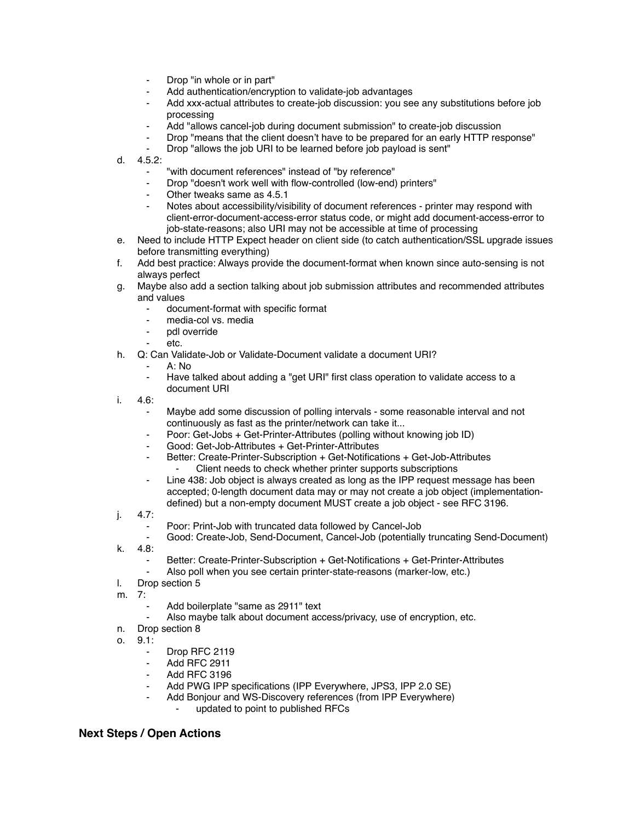- Drop "in whole or in part"
- Add authentication/encryption to validate-job advantages
- Add xxx-actual attributes to create-job discussion: you see any substitutions before job processing
- Add "allows cancel-job during document submission" to create-job discussion
- Drop "means that the client doesn't have to be prepared for an early HTTP response"
- Drop "allows the job URI to be learned before job payload is sent"
- d. 4.5.2:
	- ⁃ "with document references" instead of "by reference"
	- Drop "doesn't work well with flow-controlled (low-end) printers"
	- Other tweaks same as 4.5.1
	- Notes about accessibility/visibility of document references printer may respond with client-error-document-access-error status code, or might add document-access-error to job-state-reasons; also URI may not be accessible at time of processing
- e. Need to include HTTP Expect header on client side (to catch authentication/SSL upgrade issues before transmitting everything)
- f. Add best practice: Always provide the document-format when known since auto-sensing is not always perfect
- g. Maybe also add a section talking about job submission attributes and recommended attributes and values
	- document-format with specific format
	- media-col vs. media
	- pdl override
	- ⁃ etc.
- h. Q: Can Validate-Job or Validate-Document validate a document URI?
	- $A \cdot N$
	- Have talked about adding a "get URI" first class operation to validate access to a document URI
- i. 4.6:
	- Maybe add some discussion of polling intervals some reasonable interval and not continuously as fast as the printer/network can take it...
	- ⁃ Poor: Get-Jobs + Get-Printer-Attributes (polling without knowing job ID)
	- ⁃ Good: Get-Job-Attributes + Get-Printer-Attributes
	- Better: Create-Printer-Subscription + Get-Notifications + Get-Job-Attributes Client needs to check whether printer supports subscriptions
	- Line 438: Job object is always created as long as the IPP request message has been accepted; 0-length document data may or may not create a job object (implementationdefined) but a non-empty document MUST create a job object - see RFC 3196.
- j. 4.7:
	- Poor: Print-Job with truncated data followed by Cancel-Job
	- Good: Create-Job, Send-Document, Cancel-Job (potentially truncating Send-Document)
- k. 4.8:
	- Better: Create-Printer-Subscription + Get-Notifications + Get-Printer-Attributes
	- Also poll when you see certain printer-state-reasons (marker-low, etc.)
- l. Drop section 5
- m. 7:
	- Add boilerplate "same as 2911" text
	- Also maybe talk about document access/privacy, use of encryption, etc.
- n. Drop section 8
- o. 9.1:
	- Drop RFC 2119
	- ⁃ Add RFC 2911
	- ⁃ Add RFC 3196
	- Add PWG IPP specifications (IPP Everywhere, JPS3, IPP 2.0 SE)
		- Add Bonjour and WS-Discovery references (from IPP Everywhere)
			- updated to point to published RFCs

## **Next Steps / Open Actions**